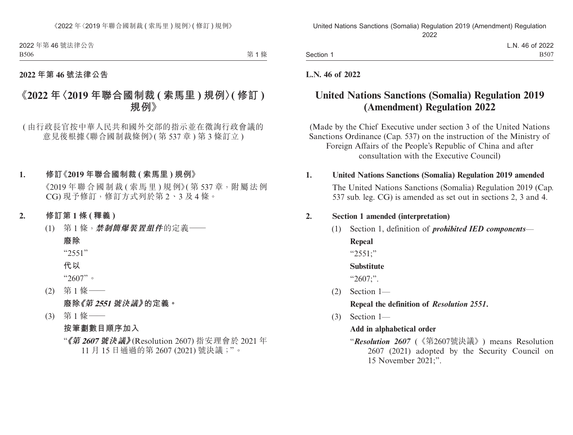2022 年第 46 號法律公告 B506

第1條

## **2022 年第 46 號法律公告**

# **《2022 年〈2019 年聯合國制裁 ( 索馬里 ) 規例〉( 修訂 ) 規例》**

( 由行政長官按中華人民共和國外交部的指示並在徵詢行政會議的 意見後根據《聯合國制裁條例》(第537章)第3條訂立)

## **1. 修訂《2019 年聯合國制裁 ( 索馬里 ) 規例》**

 $\langle 2019 \oplus \mathbb{R} \oplus \mathbb{R} \oplus \mathbb{R} \oplus \mathbb{R} \oplus \mathbb{R}$  ) 規例》(第537章, 附屬法例 CG) 現予修訂,修訂方式列於第 2、3 及 4 條。

## **2. 修訂第 1 條 ( 釋義 )**

(1) 第 1 條,**禁制簡爆裝置組件**的定義——

# **廢除** "2551"

**代以**

"2607"。

- (2) 第 1 條—— **廢除《第 2551 號決議》的定義。**
- (3) 第 1 條——

**按筆劃數目順序加入**

"**《第 <sup>2607</sup> 號決議》**(Resolution 2607) 指安理會於 2021 年 11 月 15 日通過的第 2607 (2021) 號決議;"。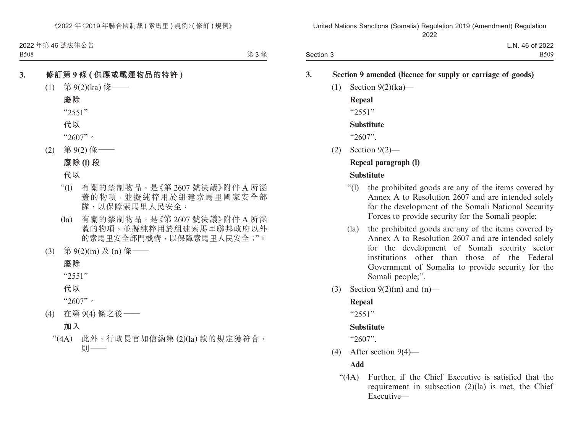2022 年第 46 號法律公告 B508

第 3 條

## **3. 修訂第 9 條 ( 供應或載運物品的特許 )**

- $(1)$  第 9(2)(ka) 條 ——
	- **廢除** "2551"
	- **代以**
	- "2607"。
- (2) 第 9(2) 條——
	- **廢除 (l) 段**
	- **代以**
	- "(l) 有關的禁制物品,是《第 2607 號決議》附件 A 所涵 蓋的物項,並擬純粹用於組建索馬里國家安全部 隊,以保障索馬里人民安全;
	- (la) 有關的禁制物品,是《第 2607 號決議》附件 A 所涵 蓋的物項,並擬純粹用於組建索馬里聯邦政府以外 的索馬里安全部門機構,以保障索馬里人民安全;"。
- (3) 第 9(2)(m) 及 (n) 條——

#### **廢除**

"2551"

**代以**

"2607"。

(4) 在第 9(4) 條之後——

# **加入**

"(4A) 此外,行政長官如信納第 (2)(la) 款的規定獲符合, 則——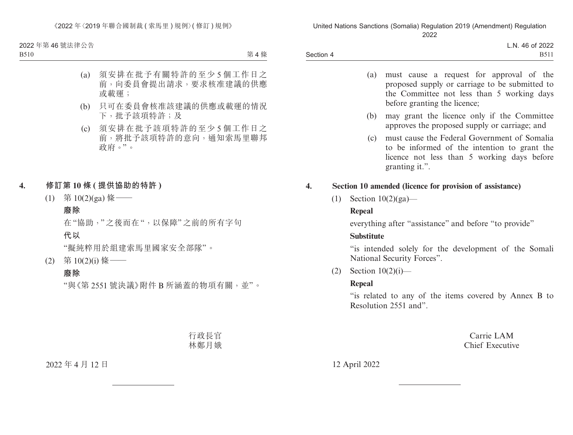《2022 年〈2019 年聯合國制裁 ( 索馬里 ) 規例〉( 修訂 ) 規例》

2022 年第 46 號法律公告

B510

第4條

- (a) 須安排在批予有關特許的至少 5 個工作日之 前,向委員會提出請求,要求核准建議的供應 或載運;
- (b) 只可在委員會核准該建議的供應或載運的情況 下,批予該項特許;及
- (c) 須安排在批予該項特許的至少 5 個工作日之 前,將批予該項特許的意向,通知索馬里聯邦 政府。"。
- **4. 修訂第 10 條 ( 提供協助的特許 )**
	- (1) 第 10(2)(ga) 條 ——

### **廢除**

在"協助,"之後而在",以保障"之前的所有字句 **代以**

"擬純粹用於組建索馬里國家安全部隊"。

(2) 第 10(2)(i) 條——

## **廢除**

"與《第 2551 號決議》附件 B 所涵蓋的物項有關,並"。

行政長官 林鄭月娥

## 2022 年 4 月 12 日